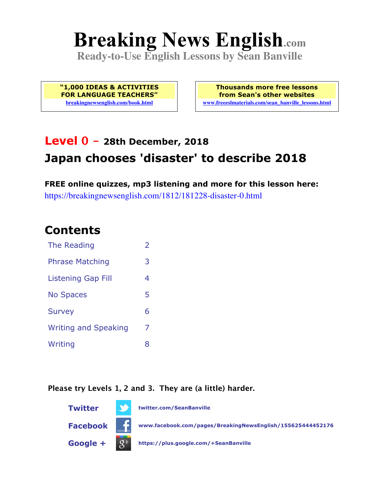# **Breaking News English.com**

**Ready-to-Use English Lessons by Sean Banville**

**"1,000 IDEAS & ACTIVITIES FOR LANGUAGE TEACHERS" breakingnewsenglish.com/book.html**

**Thousands more free lessons from Sean's other websites www.freeeslmaterials.com/sean\_banville\_lessons.html**

# **Level 0 - 28th December, 2018 Japan chooses 'disaster' to describe 2018**

**FREE online quizzes, mp3 listening and more for this lesson here:** https://breakingnewsenglish.com/1812/181228-disaster-0.html

#### **Contents**

| The Reading                 | $\overline{2}$ |
|-----------------------------|----------------|
| <b>Phrase Matching</b>      | 3              |
| <b>Listening Gap Fill</b>   | 4              |
| <b>No Spaces</b>            | 5              |
| <b>Survey</b>               | 6              |
| <b>Writing and Speaking</b> | 7              |
| Writing                     | 8              |

**Please try Levels 1, 2 and 3. They are (a little) harder.**

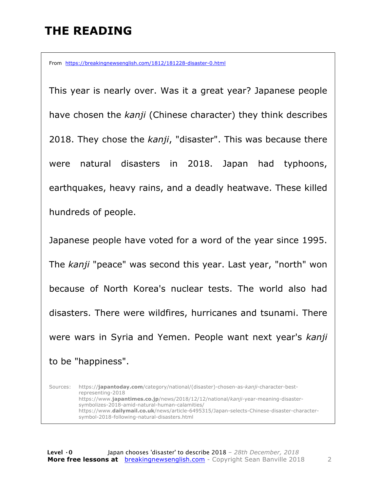## **THE READING**

From https://breakingnewsenglish.com/1812/181228-disaster-0.html

This year is nearly over. Was it a great year? Japanese people have chosen the *kanji* (Chinese character) they think describes 2018. They chose the *kanji*, "disaster". This was because there were natural disasters in 2018. Japan had typhoons, earthquakes, heavy rains, and a deadly heatwave. These killed hundreds of people.

Japanese people have voted for a word of the year since 1995. The *kanji* "peace" was second this year. Last year, "north" won because of North Korea's nuclear tests. The world also had disasters. There were wildfires, hurricanes and tsunami. There were wars in Syria and Yemen. People want next year's *kanji* to be "happiness".

Sources: https://**japantoday.com**/category/national/(disaster)-chosen-as-*kanji*-character-bestrepresenting-2018 https://www.**japantimes.co.jp**/news/2018/12/12/national/*kanji*-year-meaning-disastersymbolizes-2018-amid-natural-human-calamities/ https://www.**dailymail.co.uk**/news/article-6495315/Japan-selects-Chinese-disaster-charactersymbol-2018-following-natural-disasters.html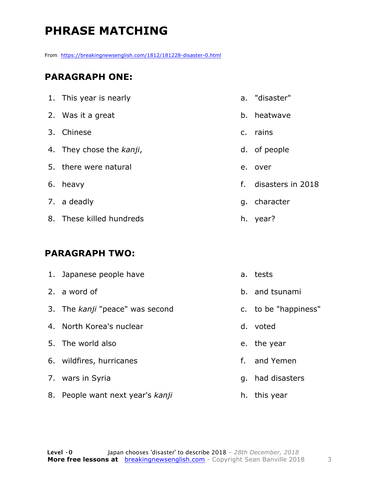# **PHRASE MATCHING**

From https://breakingnewsenglish.com/1812/181228-disaster-0.html

#### **PARAGRAPH ONE:**

| 1. This year is nearly   |    | a. "disaster"     |
|--------------------------|----|-------------------|
| 2. Was it a great        |    | b. heatwave       |
| 3. Chinese               |    | c. rains          |
| 4. They chose the kanji, |    | d. of people      |
| 5. there were natural    | e. | over              |
| 6. heavy                 | f. | disasters in 2018 |
| 7. a deadly              |    | g. character      |
| 8. These killed hundreds |    | h. year?          |

#### **PARAGRAPH TWO:**

| 1. Japanese people have          |    | a. tests             |
|----------------------------------|----|----------------------|
| 2. a word of                     |    | b. and tsunami       |
| 3. The kanji "peace" was second  |    | c. to be "happiness" |
| 4. North Korea's nuclear         |    | d. voted             |
| 5. The world also                |    | e. the year          |
| 6. wildfires, hurricanes         |    | f. and Yemen         |
| 7. wars in Syria                 |    | g. had disasters     |
| 8. People want next year's kanji | h. | this year            |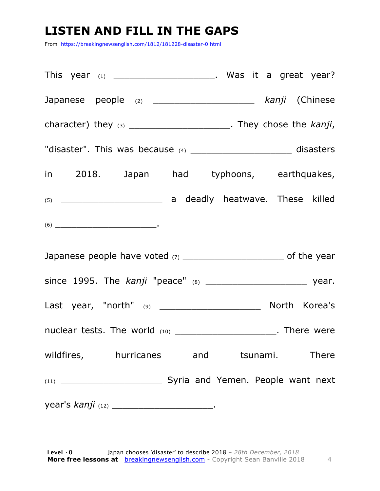### **LISTEN AND FILL IN THE GAPS**

From https://breakingnewsenglish.com/1812/181228-disaster-0.html

| This year $(1)$ _______________________. Was it a great year?                                                                                                                                                                                                                                                                                                                                              |
|------------------------------------------------------------------------------------------------------------------------------------------------------------------------------------------------------------------------------------------------------------------------------------------------------------------------------------------------------------------------------------------------------------|
| Japanese people (2) _____________________ kanji (Chinese                                                                                                                                                                                                                                                                                                                                                   |
| character) they $(3)$ _________________________. They chose the $kanji$ ,                                                                                                                                                                                                                                                                                                                                  |
| "disaster". This was because (4) _________________________ disasters                                                                                                                                                                                                                                                                                                                                       |
| in 2018. Japan had typhoons, earthquakes,                                                                                                                                                                                                                                                                                                                                                                  |
|                                                                                                                                                                                                                                                                                                                                                                                                            |
| $(6) \begin{tabular}{l} \hline \rule[1em]{1em}{1em} \rule[1em]{1em}{1em} \rule[1em]{1em}{1em} \rule[1em]{1em}{1em} \rule[1em]{1em}{1em} \rule[1em]{1em}{1em} \rule[1em]{1em}{1em} \rule[1em]{1em}{1em} \rule[1em]{1em}{1em} \rule[1em]{1em}{1em} \rule[1em]{1em}{1em} \rule[1em]{1em}{1em} \rule[1em]{1em}{1em} \rule[1em]{1em}{1em} \rule[1em]{1em}{1em} \rule[1em]{1em}{1em} \rule[1em]{1em}{1em} \rule$ |
| Japanese people have voted (7) _________________________________ of the year                                                                                                                                                                                                                                                                                                                               |
|                                                                                                                                                                                                                                                                                                                                                                                                            |
|                                                                                                                                                                                                                                                                                                                                                                                                            |
| nuclear tests. The world (10) _______________________. There were                                                                                                                                                                                                                                                                                                                                          |
| wildfires, hurricanes and tsunami. There                                                                                                                                                                                                                                                                                                                                                                   |
|                                                                                                                                                                                                                                                                                                                                                                                                            |
|                                                                                                                                                                                                                                                                                                                                                                                                            |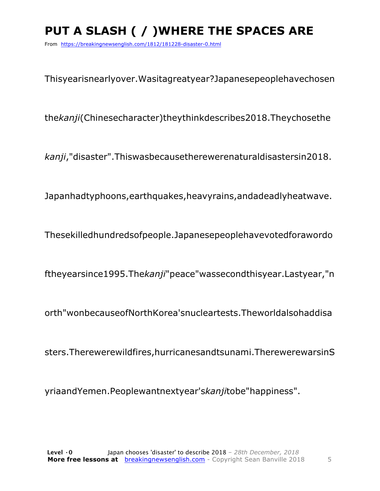# **PUT A SLASH ( / )WHERE THE SPACES ARE**

From https://breakingnewsenglish.com/1812/181228-disaster-0.html

Thisyearisnearlyover.Wasitagreatyear?Japanesepeoplehavechosen

the*kanji*(Chinesecharacter)theythinkdescribes2018.Theychosethe

*kanji*,"disaster".Thiswasbecausetherewerenaturaldisastersin2018.

Japanhadtyphoons,earthquakes,heavyrains,andadeadlyheatwave.

Thesekilledhundredsofpeople.Japanesepeoplehavevotedforawordo

ftheyearsince1995.The*kanji*"peace"wassecondthisyear.Lastyear,"n

orth"wonbecauseofNorthKorea'snucleartests.Theworldalsohaddisa

sters.Therewerewildfires,hurricanesandtsunami.TherewerewarsinS

yriaandYemen.Peoplewantnextyear's*kanji*tobe"happiness".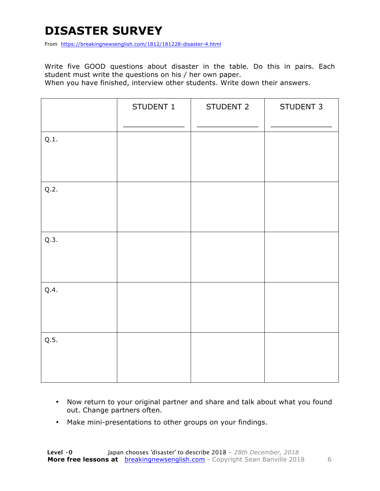### **DISASTER SURVEY**

From https://breakingnewsenglish.com/1812/181228-disaster-4.html

Write five GOOD questions about disaster in the table. Do this in pairs. Each student must write the questions on his / her own paper.

When you have finished, interview other students. Write down their answers.

|      | STUDENT 1 | STUDENT 2 | STUDENT 3 |
|------|-----------|-----------|-----------|
| Q.1. |           |           |           |
| Q.2. |           |           |           |
| Q.3. |           |           |           |
| Q.4. |           |           |           |
| Q.5. |           |           |           |

- Now return to your original partner and share and talk about what you found out. Change partners often.
- Make mini-presentations to other groups on your findings.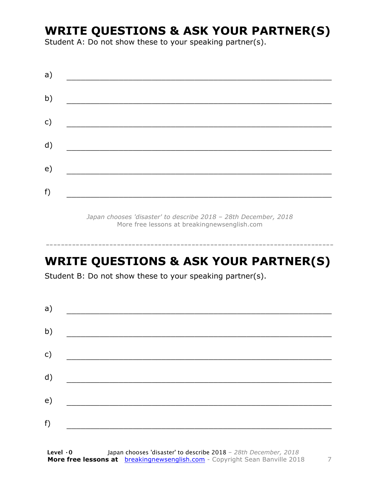#### **WRITE QUESTIONS & ASK YOUR PARTNER(S)**

Student A: Do not show these to your speaking partner(s).

| a) |  |  |
|----|--|--|
| b) |  |  |
| c) |  |  |
| d) |  |  |
| e) |  |  |
| f) |  |  |
|    |  |  |

*Japan chooses 'disaster' to describe 2018 – 28th December, 2018* More free lessons at breakingnewsenglish.com

#### **WRITE QUESTIONS & ASK YOUR PARTNER(S)**

-----------------------------------------------------------------------------

Student B: Do not show these to your speaking partner(s).

| a) |  |  |
|----|--|--|
| b) |  |  |
| c) |  |  |
| d) |  |  |
| e) |  |  |
| f) |  |  |
|    |  |  |